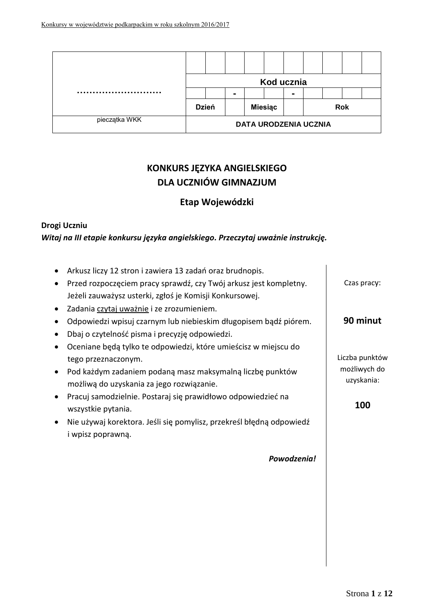|               |              |  | Kod ucznia     |   |                              |            |  |
|---------------|--------------|--|----------------|---|------------------------------|------------|--|
|               |              |  |                | - |                              |            |  |
|               | <b>Dzień</b> |  | <b>Miesiąc</b> |   |                              | <b>Rok</b> |  |
| pieczątka WKK |              |  |                |   | <b>DATA URODZENIA UCZNIA</b> |            |  |

# **KONKURS JĘZYKA ANGIELSKIEGO DLA UCZNIÓW GIMNAZJUM**

# **Etap Wojewódzki**

## **Drogi Uczniu**

# *Witaj na III etapie konkursu języka angielskiego. Przeczytaj uważnie instrukcję.*

| Arkusz liczy 12 stron i zawiera 13 zadań oraz brudnopis.<br>Przed rozpoczęciem pracy sprawdź, czy Twój arkusz jest kompletny.<br>Jeżeli zauważysz usterki, zgłoś je Komisji Konkursowej.                                                                                                                                                                                                 | Czas pracy:                                         |
|------------------------------------------------------------------------------------------------------------------------------------------------------------------------------------------------------------------------------------------------------------------------------------------------------------------------------------------------------------------------------------------|-----------------------------------------------------|
| Zadania czytaj uważnie i ze zrozumieniem.<br>Odpowiedzi wpisuj czarnym lub niebieskim długopisem bądź piórem.<br>Dbaj o czytelność pisma i precyzję odpowiedzi.                                                                                                                                                                                                                          | 90 minut                                            |
| Oceniane będą tylko te odpowiedzi, które umieścisz w miejscu do<br>tego przeznaczonym.<br>Pod każdym zadaniem podaną masz maksymalną liczbę punktów<br>$\bullet$<br>możliwą do uzyskania za jego rozwiązanie.<br>Pracuj samodzielnie. Postaraj się prawidłowo odpowiedzieć na<br>$\bullet$<br>wszystkie pytania.<br>Nie używaj korektora. Jeśli się pomylisz, przekreśl błędną odpowiedź | Liczba punktów<br>możliwych do<br>uzyskania:<br>100 |
| i wpisz poprawną.<br>Powodzenia!                                                                                                                                                                                                                                                                                                                                                         |                                                     |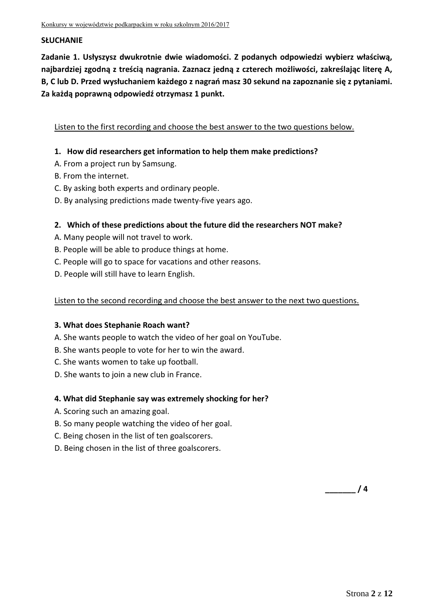## **SŁUCHANIE**

**Zadanie 1. Usłyszysz dwukrotnie dwie wiadomości. Z podanych odpowiedzi wybierz właściwą, najbardziej zgodną z treścią nagrania. Zaznacz jedną z czterech możliwości, zakreślając literę A, B, C lub D. Przed wysłuchaniem każdego z nagrań masz 30 sekund na zapoznanie się z pytaniami. Za każdą poprawną odpowiedź otrzymasz 1 punkt.**

Listen to the first recording and choose the best answer to the two questions below.

## **1. How did researchers get information to help them make predictions?**

- A. From a project run by Samsung.
- B. From the internet.
- C. By asking both experts and ordinary people.
- D. By analysing predictions made twenty-five years ago.

## **2. Which of these predictions about the future did the researchers NOT make?**

- A. Many people will not travel to work.
- B. People will be able to produce things at home.
- C. People will go to space for vacations and other reasons.
- D. People will still have to learn English.

## Listen to the second recording and choose the best answer to the next two questions.

## **3. What does Stephanie Roach want?**

- A. She wants people to watch the video of her goal on YouTube.
- B. She wants people to vote for her to win the award.
- C. She wants women to take up football.
- D. She wants to join a new club in France.

## **4. What did Stephanie say was extremely shocking for her?**

- A. Scoring such an amazing goal.
- B. So many people watching the video of her goal.
- C. Being chosen in the list of ten goalscorers.
- D. Being chosen in the list of three goalscorers.

**\_\_\_\_\_\_\_ / 4**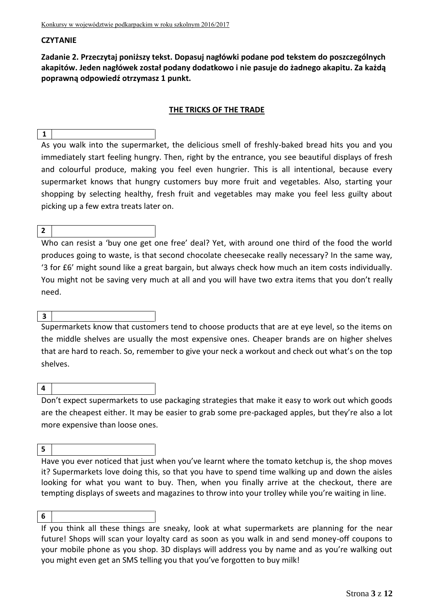## **CZYTANIE**

**Zadanie 2. Przeczytaj poniższy tekst. Dopasuj nagłówki podane pod tekstem do poszczególnych akapitów. Jeden nagłówek został podany dodatkowo i nie pasuje do żadnego akapitu. Za każdą poprawną odpowiedź otrzymasz 1 punkt.**

### **THE TRICKS OF THE TRADE**

As you walk into the supermarket, the delicious smell of freshly-baked bread hits you and you immediately start feeling hungry. Then, right by the entrance, you see beautiful displays of fresh and colourful produce, making you feel even hungrier. This is all intentional, because every supermarket knows that hungry customers buy more fruit and vegetables. Also, starting your shopping by selecting healthy, fresh fruit and vegetables may make you feel less guilty about picking up a few extra treats later on.

#### **2**

**1**

Who can resist a 'buy one get one free' deal? Yet, with around one third of the food the world produces going to waste, is that second chocolate cheesecake really necessary? In the same way, '3 for £6' might sound like a great bargain, but always check how much an item costs individually. You might not be saving very much at all and you will have two extra items that you don't really need.

#### **3**

Supermarkets know that customers tend to choose products that are at eye level, so the items on the middle shelves are usually the most expensive ones. Cheaper brands are on higher shelves that are hard to reach. So, remember to give your neck a workout and check out what's on the top shelves.

#### **4**

Don't expect supermarkets to use packaging strategies that make it easy to work out which goods are the cheapest either. It may be easier to grab some pre-packaged apples, but they're also a lot more expensive than loose ones.

#### **5**

Have you ever noticed that just when you've learnt where the tomato ketchup is, the shop moves it? Supermarkets love doing this, so that you have to spend time walking up and down the aisles looking for what you want to buy. Then, when you finally arrive at the checkout, there are tempting displays of sweets and magazines to throw into your trolley while you're waiting in line.

#### **6**

If you think all these things are sneaky, look at what supermarkets are planning for the near future! Shops will scan your loyalty card as soon as you walk in and send money-off coupons to your mobile phone as you shop. 3D displays will address you by name and as you're walking out you might even get an SMS telling you that you've forgotten to buy milk!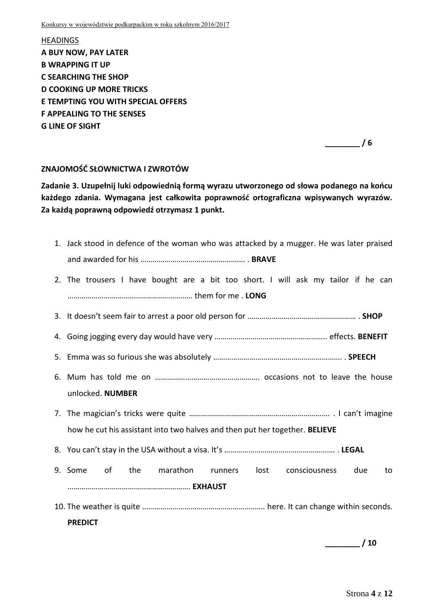Konkursy w województwie podkarpackim w roku szkolnym 2016/2017

HEADINGS **A BUY NOW, PAY LATER B WRAPPING IT UP C SEARCHING THE SHOP D COOKING UP MORE TRICKS E TEMPTING YOU WITH SPECIAL OFFERS F APPEALING TO THE SENSES G LINE OF SIGHT**

**\_\_\_\_\_\_\_\_ / 6**

## **ZNAJOMOŚĆ SŁOWNICTWA I ZWROTÓW**

**Zadanie 3. Uzupełnij luki odpowiednią formą wyrazu utworzonego od słowa podanego na końcu każdego zdania. Wymagana jest całkowita poprawność ortograficzna wpisywanych wyrazów. Za każdą poprawną odpowiedź otrzymasz 1 punkt.**

| 1. Jack stood in defence of the woman who was attacked by a mugger. He was later praised                                                                                                |
|-----------------------------------------------------------------------------------------------------------------------------------------------------------------------------------------|
|                                                                                                                                                                                         |
| 2. The trousers I have bought are a bit too short. I will ask my tailor if he can                                                                                                       |
|                                                                                                                                                                                         |
|                                                                                                                                                                                         |
|                                                                                                                                                                                         |
|                                                                                                                                                                                         |
|                                                                                                                                                                                         |
| unlocked. NUMBER                                                                                                                                                                        |
|                                                                                                                                                                                         |
| how he cut his assistant into two halves and then put her together. BELIEVE                                                                                                             |
|                                                                                                                                                                                         |
| of the contract of the contract of the contract of the contract of the contract of the contract of the contract o<br>the marathon<br>9. Some<br>runners lost consciousness<br>due<br>to |
|                                                                                                                                                                                         |
|                                                                                                                                                                                         |
| <b>PREDICT</b>                                                                                                                                                                          |

**\_\_\_\_\_\_\_\_ / 10**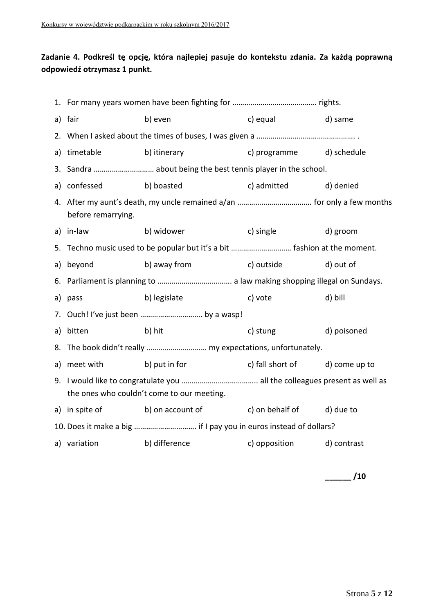# **Zadanie 4. Podkreśl tę opcję, która najlepiej pasuje do kontekstu zdania. Za każdą poprawną odpowiedź otrzymasz 1 punkt.**

|    | a) fair            | b) even                                                                   | c) equal                       | d) same     |  |
|----|--------------------|---------------------------------------------------------------------------|--------------------------------|-------------|--|
|    |                    |                                                                           |                                |             |  |
|    | a) timetable       | b) itinerary                                                              | c) programme d) schedule       |             |  |
|    |                    |                                                                           |                                |             |  |
|    | a) confessed       | b) boasted                                                                | c) admitted d) denied          |             |  |
|    | before remarrying. |                                                                           |                                |             |  |
|    | a) in-law          | b) widower                                                                | c) single                      | d) groom    |  |
|    |                    | 5. Techno music used to be popular but it's a bit  fashion at the moment. |                                |             |  |
| a) | beyond             | b) away from<br>c) outside                                                |                                | d) out of   |  |
|    |                    |                                                                           |                                |             |  |
|    | a) pass            | b) legislate                                                              | c) vote                        | d) bill     |  |
|    |                    |                                                                           |                                |             |  |
| a) | bitten             | b) hit                                                                    | c) stung                       | d) poisoned |  |
|    |                    | 8. The book didn't really  my expectations, unfortunately.                |                                |             |  |
|    | a) meet with       | b) put in for                                                             | c) fall short of d) come up to |             |  |
|    |                    | the ones who couldn't come to our meeting.                                |                                |             |  |
|    | a) in spite of     | b) on account of c) on behalf of                                          |                                | d) due to   |  |
|    |                    | 10. Does it make a big  if I pay you in euros instead of dollars?         |                                |             |  |
|    | a) variation       | b) difference                                                             | c) opposition d) contrast      |             |  |

**\_\_\_\_\_\_ /10**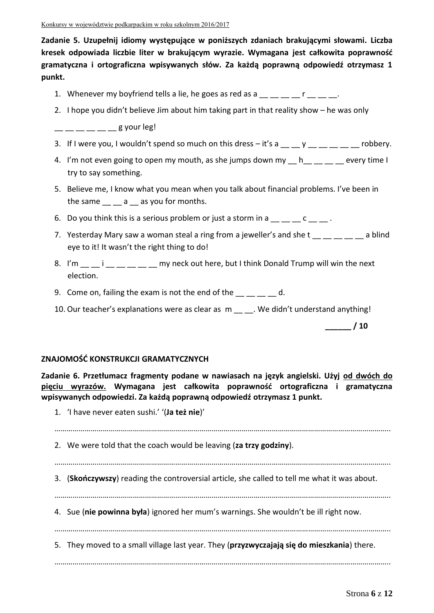**Zadanie 5. Uzupełnij idiomy występujące w poniższych zdaniach brakującymi słowami. Liczba kresek odpowiada liczbie liter w brakującym wyrazie. Wymagana jest całkowita poprawność gramatyczna i ortograficzna wpisywanych słów. Za każdą poprawną odpowiedź otrzymasz 1 punkt.**

- 1. Whenever my boyfriend tells a lie, he goes as red as a  $\underline{\hspace{1cm}}$  \_\_ \_ \_ r \_ \_ \_ \_ .
- 2. I hope you didn't believe Jim about him taking part in that reality show he was only

 $g$  your leg!

- 3. If I were you, I wouldn't spend so much on this dress  $-$  it's a  $\qquad$  y  $\qquad$  robbery.
- 4. I'm not even going to open my mouth, as she jumps down my hevery time I try to say something.
- 5. Believe me, I know what you mean when you talk about financial problems. I've been in the same a as you for months.
- 6. Do you think this is a serious problem or just a storm in a  $\underline{\hspace{1cm}}$   $\underline{\hspace{1cm}}$   $c$   $\underline{\hspace{1cm}}$ .
- 7. Yesterday Mary saw a woman steal a ring from a jeweller's and she t a solind eye to it! It wasn't the right thing to do!
- 8. I'm \_\_ i \_\_ \_ \_ \_ \_ my neck out here, but I think Donald Trump will win the next election.
- 9. Come on, failing the exam is not the end of the  $\qquad \qquad d.$
- 10. Our teacher's explanations were as clear as m \_\_ \_\_. We didn't understand anything!

**ZNAJOMOŚĆ KONSTRUKCJI GRAMATYCZNYCH**

**Zadanie 6. Przetłumacz fragmenty podane w nawiasach na język angielski. Użyj od dwóch do pięciu wyrazów. Wymagana jest całkowita poprawność ortograficzna i gramatyczna wpisywanych odpowiedzi. Za każdą poprawną odpowiedź otrzymasz 1 punkt.**

1. 'I have never eaten sushi.' '(**Ja też nie**)'

………………………………………………………………………………………………………………………………………………….. 2. We were told that the coach would be leaving (**za trzy godziny**). ………………………………………………………………………………………………………………………………………………….. 3. (**Skończywszy**) reading the controversial article, she called to tell me what it was about. ………………………………………………………………………………………………………………………………………………….. 4. Sue (**nie powinna była**) ignored her mum's warnings. She wouldn't be ill right now. ………………………………………………………………………………………………………………………………………………….. 5. They moved to a small village last year. They (**przyzwyczajają się do mieszkania**) there. …………………………………………………………………………………………………………………………………………………..

**\_\_\_\_\_\_ / 10**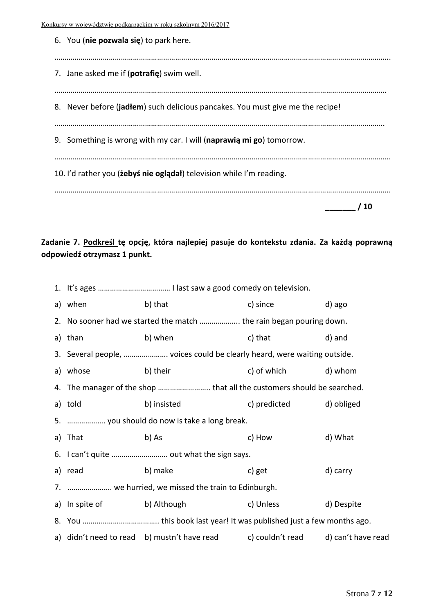Konkursy w województwie podkarpackim w roku szkolnym 2016/2017

| 6. You (nie pozwala się) to park here.                                         |    |
|--------------------------------------------------------------------------------|----|
| 7. Jane asked me if ( <b>potrafie</b> ) swim well.                             |    |
| 8. Never before (jadiem) such delicious pancakes. You must give me the recipe! |    |
| 9. Something is wrong with my car. I will (naprawia mi go) tomorrow.           |    |
| 10. I'd rather you ( <i>iebys</i> nie ogladał) television while I'm reading.   |    |
|                                                                                | 10 |

## **Zadanie 7. Podkreśl tę opcję, która najlepiej pasuje do kontekstu zdania. Za każdą poprawną odpowiedź otrzymasz 1 punkt.**

| a) when                    | b) that                                                                  | c) since     | d) ago             |
|----------------------------|--------------------------------------------------------------------------|--------------|--------------------|
|                            | 2. No sooner had we started the match  the rain began pouring down.      |              |                    |
| a) than                    | b) when                                                                  | c) that      | d) and             |
|                            | 3. Several people,  voices could be clearly heard, were waiting outside. |              |                    |
| a) whose                   | b) their                                                                 | c) of which  | d) whom            |
|                            | 4. The manager of the shop  that all the customers should be searched.   |              |                    |
| a) told                    | b) insisted                                                              | c) predicted | d) obliged         |
|                            | 5.  you should do now is take a long break.                              |              |                    |
| a) That                    | b) As                                                                    | c) How       | d) What            |
|                            | 6. I can't quite  out what the sign says.                                |              |                    |
| a) read                    | b) make                                                                  | c) get       | d) carry           |
|                            | 7.  we hurried, we missed the train to Edinburgh.                        |              |                    |
| a) In spite of b) Although |                                                                          | c) Unless    | d) Despite         |
|                            |                                                                          |              |                    |
|                            | a) didn't need to read b) mustn't have read c) couldn't read             |              | d) can't have read |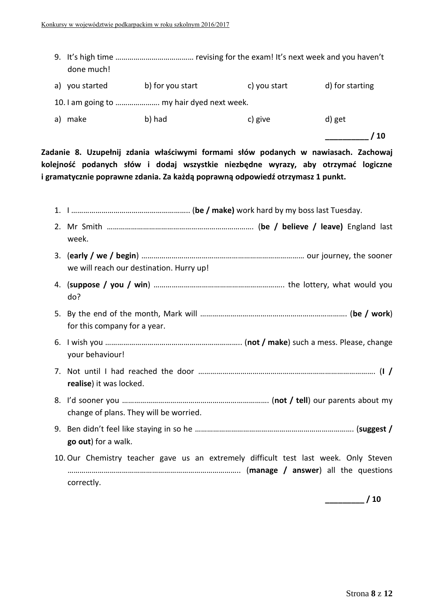| done much!        |                                            |              |                 |
|-------------------|--------------------------------------------|--------------|-----------------|
| you started<br>a) | b) for you start                           | c) you start | d) for starting |
|                   | 10. I am going to  my hair dyed next week. |              |                 |
| make<br>a)        | b) had                                     | c) give      | d) get          |
|                   |                                            |              | 10              |

**Zadanie 8. Uzupełnij zdania właściwymi formami słów podanych w nawiasach. Zachowaj kolejność podanych słów i dodaj wszystkie niezbędne wyrazy, aby otrzymać logiczne i gramatycznie poprawne zdania. Za każdą poprawną odpowiedź otrzymasz 1 punkt.**

| week.                                                                                              |
|----------------------------------------------------------------------------------------------------|
| we will reach our destination. Hurry up!                                                           |
| do?                                                                                                |
| for this company for a year.                                                                       |
| your behaviour!                                                                                    |
| realise) it was locked.                                                                            |
| change of plans. They will be worried.                                                             |
| go out) for a walk.                                                                                |
| 10. Our Chemistry teacher gave us an extremely difficult test last week. Only Steven<br>correctly. |
|                                                                                                    |

**\_\_\_\_\_\_\_\_\_ / 10**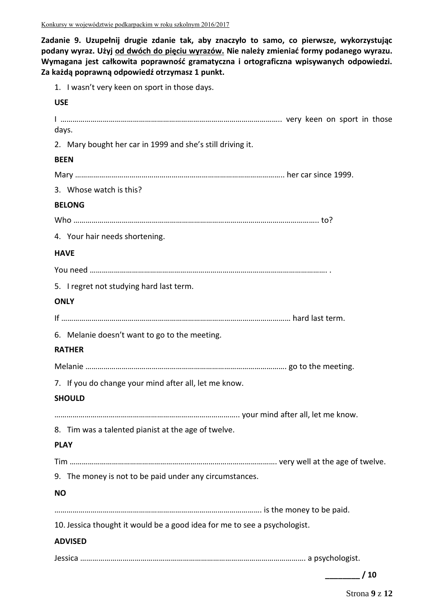**Zadanie 9. Uzupełnij drugie zdanie tak, aby znaczyło to samo, co pierwsze, wykorzystując podany wyraz. Użyj od dwóch do pięciu wyrazów. Nie należy zmieniać formy podanego wyrazu. Wymagana jest całkowita poprawność gramatyczna i ortograficzna wpisywanych odpowiedzi. Za każdą poprawną odpowiedź otrzymasz 1 punkt.**

1. I wasn't very keen on sport in those days.

## **USE**

| days.                                                                     |
|---------------------------------------------------------------------------|
| 2. Mary bought her car in 1999 and she's still driving it.                |
| <b>BEEN</b>                                                               |
|                                                                           |
| 3. Whose watch is this?                                                   |
| <b>BELONG</b>                                                             |
|                                                                           |
| 4. Your hair needs shortening.                                            |
| <b>HAVE</b>                                                               |
|                                                                           |
| 5. I regret not studying hard last term.                                  |
| <b>ONLY</b>                                                               |
|                                                                           |
| 6. Melanie doesn't want to go to the meeting.                             |
| <b>RATHER</b>                                                             |
|                                                                           |
| 7. If you do change your mind after all, let me know.                     |
| <b>SHOULD</b>                                                             |
|                                                                           |
| 8. Tim was a talented pianist at the age of twelve.                       |
| <b>PLAY</b>                                                               |
|                                                                           |
| 9. The money is not to be paid under any circumstances.                   |
| <b>NO</b>                                                                 |
|                                                                           |
| 10. Jessica thought it would be a good idea for me to see a psychologist. |
| <b>ADVISED</b>                                                            |
|                                                                           |
|                                                                           |
| / 10                                                                      |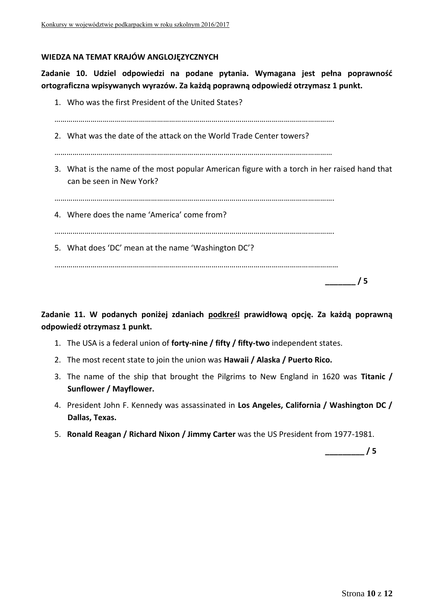## **WIEDZA NA TEMAT KRAJÓW ANGLOJĘZYCZNYCH**

**Zadanie 10. Udziel odpowiedzi na podane pytania. Wymagana jest pełna poprawność ortograficzna wpisywanych wyrazów. Za każdą poprawną odpowiedź otrzymasz 1 punkt.**

| 1. Who was the first President of the United States?                                                                     |
|--------------------------------------------------------------------------------------------------------------------------|
| 2. What was the date of the attack on the World Trade Center towers?                                                     |
| 3. What is the name of the most popular American figure with a torch in her raised hand that<br>can be seen in New York? |
| 4. Where does the name 'America' come from?                                                                              |
| 5. What does 'DC' mean at the name 'Washington DC'?                                                                      |
| 5                                                                                                                        |

**Zadanie 11. W podanych poniżej zdaniach podkreśl prawidłową opcję. Za każdą poprawną odpowiedź otrzymasz 1 punkt.**

- 1. The USA is a federal union of **forty-nine / fifty / fifty-two** independent states.
- 2. The most recent state to join the union was **Hawaii / Alaska / Puerto Rico.**
- 3. The name of the ship that brought the Pilgrims to New England in 1620 was **Titanic / Sunflower / Mayflower.**
- 4. President John F. Kennedy was assassinated in **Los Angeles, California / Washington DC / Dallas, Texas.**
- 5. **Ronald Reagan / Richard Nixon / Jimmy Carter** was the US President from 1977-1981.

**\_\_\_\_\_\_\_\_\_ / 5**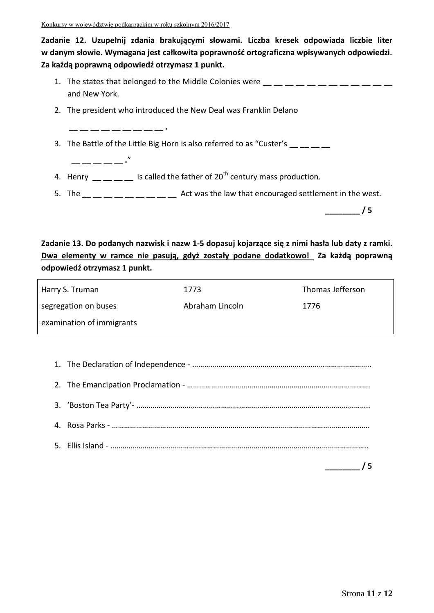**\_\_ \_\_ \_\_ \_\_ \_\_ \_\_ \_\_ \_\_ \_\_ .**

 **\_\_ \_\_ \_\_ \_\_ \_\_ .**"

**Zadanie 12. Uzupełnij zdania brakującymi słowami. Liczba kresek odpowiada liczbie liter w danym słowie. Wymagana jest całkowita poprawność ortograficzna wpisywanych odpowiedzi. Za każdą poprawną odpowiedź otrzymasz 1 punkt.**

- 1. The states that belonged to the Middle Colonies were  $\underline{\phantom{a}} = \underline{\phantom{a}} = \underline{\phantom{a}} = \underline{\phantom{a}} = \underline{\phantom{a}} = \underline{\phantom{a}} = \underline{\phantom{a}} = \underline{\phantom{a}} = \underline{\phantom{a}} = \underline{\phantom{a}} = \underline{\phantom{a}} = \underline{\phantom{a}} = \underline{\phantom{a}} = \underline{\phantom{a}} = \underline{\phantom{a}} = \underline{\phantom{a}} = \underline{\phantom{a}} = \underline{\phantom{a}} = \$ and New York.
- 2. The president who introduced the New Deal was Franklin Delano
- 3. The Battle of the Little Big Horn is also referred to as "Custer's **\_\_ \_\_ \_\_ \_\_**
- 4. Henry  $\frac{1}{\sqrt{2}}$   $\frac{1}{\sqrt{2}}$  is called the father of 20<sup>th</sup> century mass production.
- 5. The **\_\_ \_\_ \_\_ \_\_ \_\_ \_\_ \_\_ \_\_ \_\_** Act was the law that encouraged settlement in the west.

**\_\_\_\_\_\_\_\_ / 5**

**Zadanie 13. Do podanych nazwisk i nazw 1-5 dopasuj kojarzące się z nimi hasła lub daty z ramki. Dwa elementy w ramce nie pasują, gdyż zostały podane dodatkowo! Za każdą poprawną odpowiedź otrzymasz 1 punkt.** 

| Harry S. Truman           | 1773            | Thomas Jefferson |
|---------------------------|-----------------|------------------|
| segregation on buses      | Abraham Lincoln | 1776             |
| examination of immigrants |                 |                  |